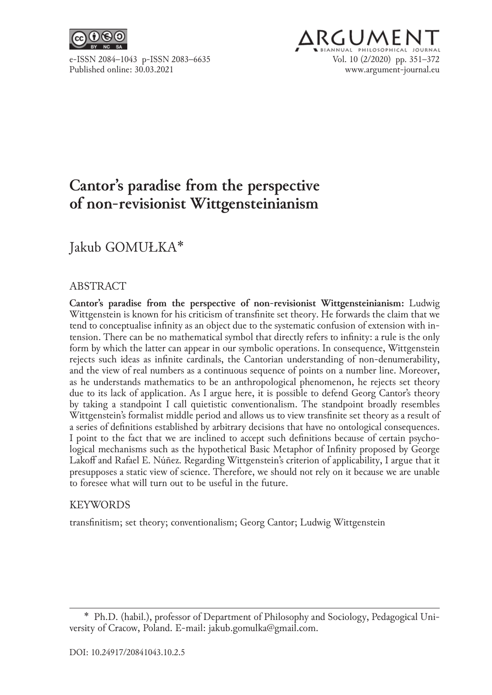

## **ARGUMEN** e‑ISSN 2084–1043 p‑ISSN 2083–6635 Vol. 10 (2/2020) pp. 351–372 www.argument-journal.eu

# **Cantor's paradise from the perspective of non‑revisionist Wittgensteinianism**

## Jakub GOMUŁKA\*

### ABSTRACT

**Cantor's paradise from the perspective of non‑revisionist Wittgensteinianism:** Ludwig Wittgenstein is known for his criticism of transfinite set theory. He forwards the claim that we tend to conceptualise infinity as an object due to the systematic confusion of extension with in‑ tension. There can be no mathematical symbol that directly refers to infinity: a rule is the only form by which the latter can appear in our symbolic operations. In consequence, Wittgenstein rejects such ideas as infinite cardinals, the Cantorian understanding of non-denumerability, and the view of real numbers as a continuous sequence of points on a number line. Moreover, as he understands mathematics to be an anthropological phenomenon, he rejects set theory due to its lack of application. As I argue here, it is possible to defend Georg Cantor's theory by taking a standpoint I call quietistic conventionalism. The standpoint broadly resembles Wittgenstein's formalist middle period and allows us to view transfinite set theory as a result of a series of definitions established by arbitrary decisions that have no ontological consequences. I point to the fact that we are inclined to accept such definitions because of certain psychological mechanisms such as the hypothetical Basic Metaphor of Infinity proposed by George Lakoff and Rafael E. Núñez. Regarding Wittgenstein's criterion of applicability, I argue that it presupposes a static view of science. Therefore, we should not rely on it because we are unable to foresee what will turn out to be useful in the future.

#### KEYWORDS

transfinitism; set theory; conventionalism; Georg Cantor; Ludwig Wittgenstein

<sup>\*</sup>  Ph.D. (habil.), professor of Department of Philosophy and Sociology, Pedagogical Uni‑ versity of Cracow, Poland. E‑mail: jakub.gomulka@gmail.com.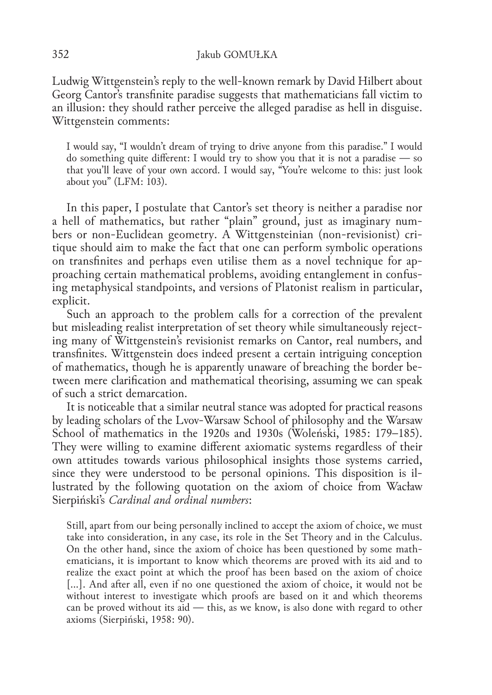Ludwig Wittgenstein's reply to the well-known remark by David Hilbert about Georg Cantor's transfinite paradise suggests that mathematicians fall victim to an illusion: they should rather perceive the alleged paradise as hell in disguise. Wittgenstein comments:

I would say, "I wouldn't dream of trying to drive anyone from this paradise." I would do something quite different: I would try to show you that it is not a paradise — so that you'll leave of your own accord. I would say, "You're welcome to this: just look about you" (LFM: 103).

In this paper, I postulate that Cantor's set theory is neither a paradise nor a hell of mathematics, but rather "plain" ground, just as imaginary numbers or non-Euclidean geometry. A Wittgensteinian (non-revisionist) critique should aim to make the fact that one can perform symbolic operations on transfinites and perhaps even utilise them as a novel technique for approaching certain mathematical problems, avoiding entanglement in confusing metaphysical standpoints, and versions of Platonist realism in particular, explicit.

Such an approach to the problem calls for a correction of the prevalent but misleading realist interpretation of set theory while simultaneously rejecting many of Wittgenstein's revisionist remarks on Cantor, real numbers, and transfinites. Wittgenstein does indeed present a certain intriguing conception of mathematics, though he is apparently unaware of breaching the border be‑ tween mere clarification and mathematical theorising, assuming we can speak of such a strict demarcation.

It is noticeable that a similar neutral stance was adopted for practical reasons by leading scholars of the Lvov‑Warsaw School of philosophy and the Warsaw School of mathematics in the 1920s and 1930s (Woleński, 1985: 179–185). They were willing to examine different axiomatic systems regardless of their own attitudes towards various philosophical insights those systems carried, since they were understood to be personal opinions. This disposition is illustrated by the following quotation on the axiom of choice from Wacław Sierpiński's *Cardinal and ordinal numbers*:

Still, apart from our being personally inclined to accept the axiom of choice, we must take into consideration, in any case, its role in the Set Theory and in the Calculus. On the other hand, since the axiom of choice has been questioned by some math– ematicians, it is important to know which theorems are proved with its aid and to realize the exact point at which the proof has been based on the axiom of choice […]. And after all, even if no one questioned the axiom of choice, it would not be without interest to investigate which proofs are based on it and which theorems can be proved without its aid — this, as we know, is also done with regard to other axioms (Sierpiński, 1958: 90).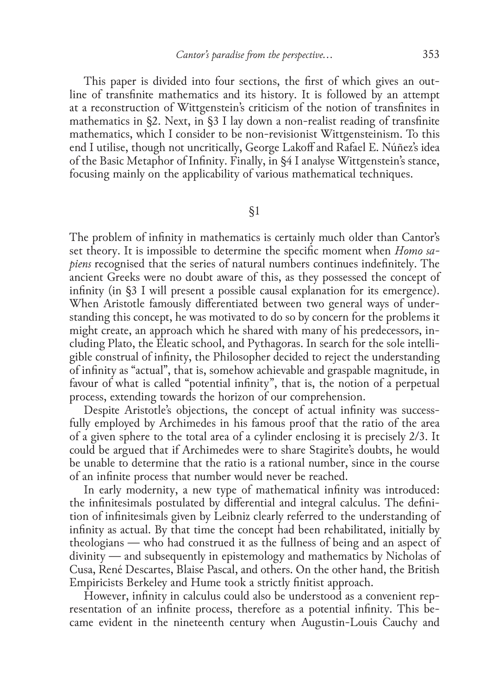This paper is divided into four sections, the first of which gives an outline of transfinite mathematics and its history. It is followed by an attempt at a reconstruction of Wittgenstein's criticism of the notion of transfinites in mathematics in  $\S2$ . Next, in  $\S3$  I lay down a non-realist reading of transfinite mathematics, which I consider to be non-revisionist Wittgensteinism. To this end I utilise, though not uncritically, George Lakoff and Rafael E. Núñez's idea of the Basic Metaphor of Infinity. Finally, in §4 I analyse Wittgenstein's stance, focusing mainly on the applicability of various mathematical techniques.

§1

The problem of infinity in mathematics is certainly much older than Cantor's set theory. It is impossible to determine the specific moment when *Homo sa‑ piens* recognised that the series of natural numbers continues indefinitely. The ancient Greeks were no doubt aware of this, as they possessed the concept of infinity (in §3 I will present a possible causal explanation for its emergence). When Aristotle famously differentiated between two general ways of understanding this concept, he was motivated to do so by concern for the problems it might create, an approach which he shared with many of his predecessors, in– cluding Plato, the Eleatic school, and Pythagoras. In search for the sole intelligible construal of infinity, the Philosopher decided to reject the understanding of infinity as "actual", that is, somehow achievable and graspable magnitude, in favour of what is called "potential infinity", that is, the notion of a perpetual process, extending towards the horizon of our comprehension.

Despite Aristotle's objections, the concept of actual infinity was successfully employed by Archimedes in his famous proof that the ratio of the area of a given sphere to the total area of a cylinder enclosing it is precisely 2/3. It could be argued that if Archimedes were to share Stagirite's doubts, he would be unable to determine that the ratio is a rational number, since in the course of an infinite process that number would never be reached.

In early modernity, a new type of mathematical infinity was introduced: the infinitesimals postulated by differential and integral calculus. The defini‑ tion of infinitesimals given by Leibniz clearly referred to the understanding of infinity as actual. By that time the concept had been rehabilitated, initially by theologians — who had construed it as the fullness of being and an aspect of divinity — and subsequently in epistemology and mathematics by Nicholas of Cusa, René Descartes, Blaise Pascal, and others. On the other hand, the British Empiricists Berkeley and Hume took a strictly finitist approach.

However, infinity in calculus could also be understood as a convenient rep‑ resentation of an infinite process, therefore as a potential infinity. This became evident in the nineteenth century when Augustin‑Louis Cauchy and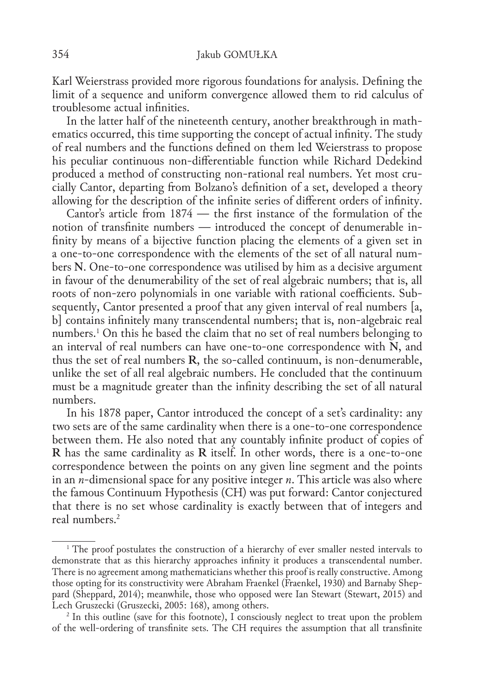Karl Weierstrass provided more rigorous foundations for analysis. Defining the limit of a sequence and uniform convergence allowed them to rid calculus of troublesome actual infinities.

In the latter half of the nineteenth century, another breakthrough in math– ematics occurred, this time supporting the concept of actual infinity. The study of real numbers and the functions defined on them led Weierstrass to propose his peculiar continuous non-differentiable function while Richard Dedekind produced a method of constructing non-rational real numbers. Yet most crucially Cantor, departing from Bolzano's definition of a set, developed a theory allowing for the description of the infinite series of different orders of infinity.

Cantor's article from 1874 — the first instance of the formulation of the notion of transfinite numbers — introduced the concept of denumerable infinity by means of a bijective function placing the elements of a given set in a one-to-one correspondence with the elements of the set of all natural numbers **N**. One‑to‑one correspondence was utilised by him as a decisive argument in favour of the denumerability of the set of real algebraic numbers; that is, all roots of non-zero polynomials in one variable with rational coefficients. Subsequently, Cantor presented a proof that any given interval of real numbers [a, b] contains infinitely many transcendental numbers; that is, non-algebraic real numbers.1 On this he based the claim that no set of real numbers belonging to an interval of real numbers can have one‑to‑one correspondence with **N**, and thus the set of real numbers **R**, the so‑called continuum, is non‑denumerable, unlike the set of all real algebraic numbers. He concluded that the continuum must be a magnitude greater than the infinity describing the set of all natural numbers.

In his 1878 paper, Cantor introduced the concept of a set's cardinality: any two sets are of the same cardinality when there is a one-to-one correspondence between them. He also noted that any countably infinite product of copies of **R** has the same cardinality as **R** itself. In other words, there is a one-to-one correspondence between the points on any given line segment and the points in an *n*‑dimensional space for any positive integer *n*. This article was also where the famous Continuum Hypothesis (CH) was put forward: Cantor conjectured that there is no set whose cardinality is exactly between that of integers and real numbers.2

<sup>&</sup>lt;sup>1</sup> The proof postulates the construction of a hierarchy of ever smaller nested intervals to demonstrate that as this hierarchy approaches infinity it produces a transcendental number. There is no agreement among mathematicians whether this proof is really constructive. Among those opting for its constructivity were Abraham Fraenkel (Fraenkel, 1930) and Barnaby Sheppard (Sheppard, 2014); meanwhile, those who opposed were Ian Stewart (Stewart, 2015) and Lech Gruszecki (Gruszecki, 2005: 168), among others.

<sup>&</sup>lt;sup>2</sup> In this outline (save for this footnote), I consciously neglect to treat upon the problem of the well‑ordering of transfinite sets. The CH requires the assumption that all transfinite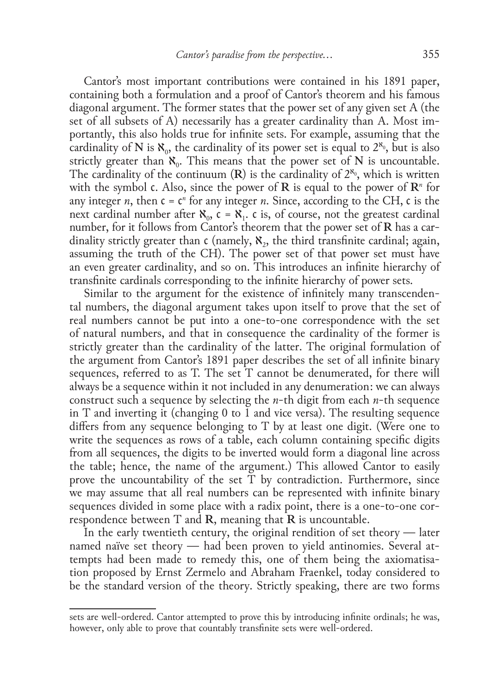Cantor's most important contributions were contained in his 1891 paper, containing both a formulation and a proof of Cantor's theorem and his famous diagonal argument. The former states that the power set of any given set A (the set of all subsets of A) necessarily has a greater cardinality than A. Most importantly, this also holds true for infinite sets. For example, assuming that the cardinality of **N** is  $\aleph_0$ , the cardinality of its power set is equal to  $2^{\aleph_0}$ , but is also strictly greater than  $\aleph_0$ . This means that the power set of N is uncountable. The cardinality of the continuum  $(R)$  is the cardinality of  $2^{\aleph_0}$ , which is written with the symbol c. Also, since the power of  $\mathbf{R}$  is equal to the power of  $\mathbf{R}^n$  for any integer *n*, then  $c = c^n$  for any integer *n*. Since, according to the CH,  $c$  is the next cardinal number after  $\aleph_0$ ,  $\epsilon = \aleph_1$ .  $\epsilon$  is, of course, not the greatest cardinal number, for it follows from Cantor's theorem that the power set of **R** has a cardinality strictly greater than  $\epsilon$  (namely,  $\aleph_{2}$ , the third transfinite cardinal; again, assuming the truth of the CH). The power set of that power set must have an even greater cardinality, and so on. This introduces an infinite hierarchy of transfinite cardinals corresponding to the infinite hierarchy of power sets.

Similar to the argument for the existence of infinitely many transcenden– tal numbers, the diagonal argument takes upon itself to prove that the set of real numbers cannot be put into a one-to-one correspondence with the set of natural numbers, and that in consequence the cardinality of the former is strictly greater than the cardinality of the latter. The original formulation of the argument from Cantor's 1891 paper describes the set of all infinite binary sequences, referred to as T. The set T cannot be denumerated, for there will always be a sequence within it not included in any denumeration: we can always construct such a sequence by selecting the *n*‑th digit from each *n*‑th sequence in T and inverting it (changing 0 to 1 and vice versa). The resulting sequence differs from any sequence belonging to T by at least one digit. (Were one to write the sequences as rows of a table, each column containing specific digits from all sequences, the digits to be inverted would form a diagonal line across the table; hence, the name of the argument.) This allowed Cantor to easily prove the uncountability of the set T by contradiction. Furthermore, since we may assume that all real numbers can be represented with infinite binary sequences divided in some place with a radix point, there is a one-to-one correspondence between T and **R**, meaning that **R** is uncountable.

In the early twentieth century, the original rendition of set theory — later named naïve set theory — had been proven to yield antinomies. Several attempts had been made to remedy this, one of them being the axiomatisation proposed by Ernst Zermelo and Abraham Fraenkel, today considered to be the standard version of the theory. Strictly speaking, there are two forms

sets are well-ordered. Cantor attempted to prove this by introducing infinite ordinals; he was, however, only able to prove that countably transfinite sets were well-ordered.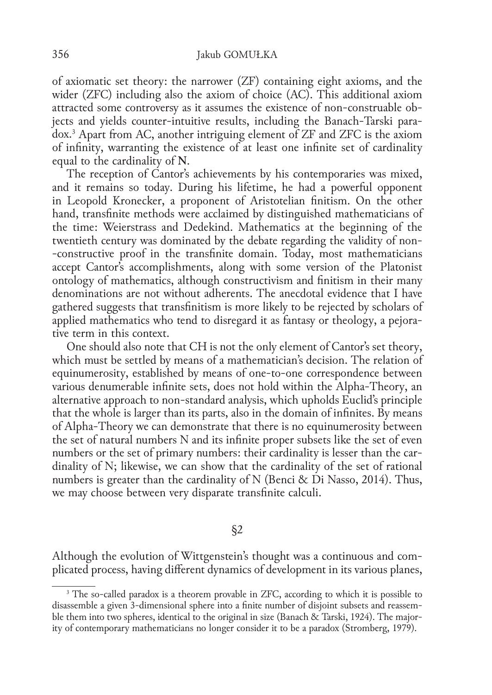of axiomatic set theory: the narrower (ZF) containing eight axioms, and the wider (ZFC) including also the axiom of choice (AC). This additional axiom attracted some controversy as it assumes the existence of non-construable objects and yields counter–intuitive results, including the Banach–Tarski para– dox.3 Apart from AC, another intriguing element of ZF and ZFC is the axiom of infinity, warranting the existence of at least one infinite set of cardinality equal to the cardinality of **N**.

The reception of Cantor's achievements by his contemporaries was mixed, and it remains so today. During his lifetime, he had a powerful opponent in Leopold Kronecker, a proponent of Aristotelian finitism. On the other hand, transfinite methods were acclaimed by distinguished mathematicians of the time: Weierstrass and Dedekind. Mathematics at the beginning of the twentieth century was dominated by the debate regarding the validity of non-‑constructive proof in the transfinite domain. Today, most mathematicians accept Cantor's accomplishments, along with some version of the Platonist ontology of mathematics, although constructivism and finitism in their many denominations are not without adherents. The anecdotal evidence that I have gathered suggests that transfinitism is more likely to be rejected by scholars of applied mathematics who tend to disregard it as fantasy or theology, a pejora‑ tive term in this context.

One should also note that CH is not the only element of Cantor's set theory, which must be settled by means of a mathematician's decision. The relation of equinumerosity, established by means of one‑to‑one correspondence between various denumerable infinite sets, does not hold within the Alpha‑Theory, an alternative approach to non‑standard analysis, which upholds Euclid's principle that the whole is larger than its parts, also in the domain of infinites. By means of Alpha‑Theory we can demonstrate that there is no equinumerosity between the set of natural numbers N and its infinite proper subsets like the set of even numbers or the set of primary numbers: their cardinality is lesser than the cardinality of N; likewise, we can show that the cardinality of the set of rational numbers is greater than the cardinality of N (Benci & Di Nasso, 2014). Thus, we may choose between very disparate transfinite calculi.

§2

Although the evolution of Wittgenstein's thought was a continuous and com‑ plicated process, having different dynamics of development in its various planes,

<sup>&</sup>lt;sup>3</sup> The so-called paradox is a theorem provable in ZFC, according to which it is possible to disassemble a given 3‑dimensional sphere into a finite number of disjoint subsets and reassem‑ ble them into two spheres, identical to the original in size (Banach & Tarski, 1924). The major– ity of contemporary mathematicians no longer consider it to be a paradox (Stromberg, 1979).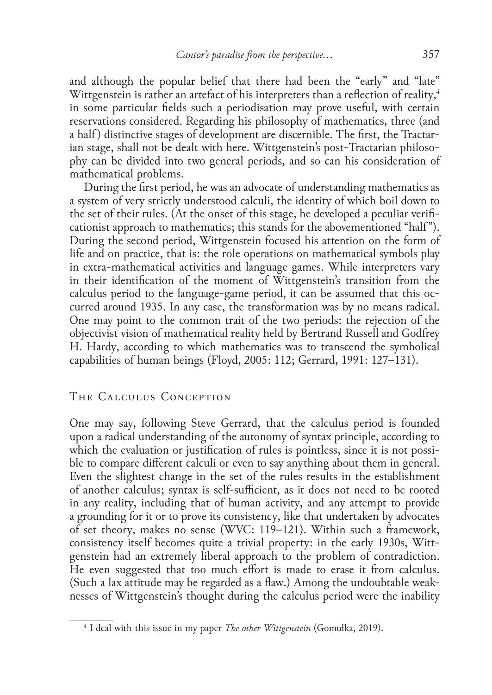and although the popular belief that there had been the "early" and "late" Wittgenstein is rather an artefact of his interpreters than a reflection of reality,<sup>4</sup> in some particular fields such a periodisation may prove useful, with certain reservations considered. Regarding his philosophy of mathematics, three (and a half) distinctive stages of development are discernible. The first, the Tractarian stage, shall not be dealt with here. Wittgenstein's post-Tractarian philosophy can be divided into two general periods, and so can his consideration of mathematical problems.

During the first period, he was an advocate of understanding mathematics as a system of very strictly understood calculi, the identity of which boil down to the set of their rules. (At the onset of this stage, he developed a peculiar verificationist approach to mathematics; this stands for the abovementioned "half"). During the second period, Wittgenstein focused his attention on the form of life and on practice, that is: the role operations on mathematical symbols play in extra-mathematical activities and language games. While interpreters vary in their identification of the moment of Wittgenstein's transition from the calculus period to the language–game period, it can be assumed that this occurred around 1935. In any case, the transformation was by no means radical. One may point to the common trait of the two periods: the rejection of the objectivist vision of mathematical reality held by Bertrand Russell and Godfrey H. Hardy, according to which mathematics was to transcend the symbolical capabilities of human beings (Floyd, 2005: 112; Gerrard, 1991: 127–131).

### The Calculus Conception

One may say, following Steve Gerrard, that the calculus period is founded upon a radical understanding of the autonomy of syntax principle, according to which the evaluation or justification of rules is pointless, since it is not possible to compare different calculi or even to say anything about them in general. Even the slightest change in the set of the rules results in the establishment of another calculus; syntax is self‑sufficient, as it does not need to be rooted in any reality, including that of human activity, and any attempt to provide a grounding for it or to prove its consistency, like that undertaken by advocates of set theory, makes no sense (WVC: 119–121). Within such a framework, consistency itself becomes quite a trivial property: in the early 1930s, Wittgenstein had an extremely liberal approach to the problem of contradiction. He even suggested that too much effort is made to erase it from calculus. (Such a lax attitude may be regarded as a flaw.) Among the undoubtable weak‑ nesses of Wittgenstein's thought during the calculus period were the inability

<sup>4</sup> I deal with this issue in my paper *The other Wittgenstein* (Gomułka, 2019).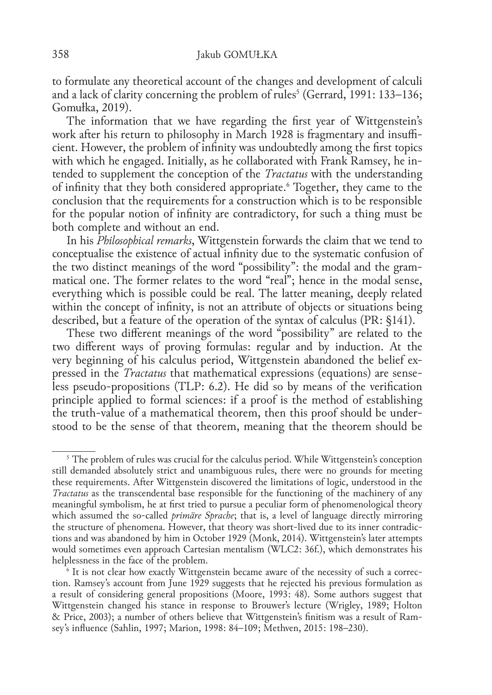to formulate any theoretical account of the changes and development of calculi and a lack of clarity concerning the problem of rules<sup>5</sup> (Gerrard, 1991: 133–136; Gomułka, 2019).

The information that we have regarding the first year of Wittgenstein's work after his return to philosophy in March 1928 is fragmentary and insufficient. However, the problem of infinity was undoubtedly among the first topics with which he engaged. Initially, as he collaborated with Frank Ramsey, he intended to supplement the conception of the *Tractatus* with the understanding of infinity that they both considered appropriate.6 Together, they came to the conclusion that the requirements for a construction which is to be responsible for the popular notion of infinity are contradictory, for such a thing must be both complete and without an end.

In his *Philosophical remarks*, Wittgenstein forwards the claim that we tend to conceptualise the existence of actual infinity due to the systematic confusion of the two distinct meanings of the word "possibility": the modal and the grammatical one. The former relates to the word "real"; hence in the modal sense, everything which is possible could be real. The latter meaning, deeply related within the concept of infinity, is not an attribute of objects or situations being described, but a feature of the operation of the syntax of calculus (PR: §141).

These two different meanings of the word "possibility" are related to the two different ways of proving formulas: regular and by induction. At the very beginning of his calculus period, Wittgenstein abandoned the belief expressed in the *Tractatus* that mathematical expressions (equations) are senseless pseudo-propositions (TLP: 6.2). He did so by means of the verification principle applied to formal sciences: if a proof is the method of establishing the truth-value of a mathematical theorem, then this proof should be understood to be the sense of that theorem, meaning that the theorem should be

<sup>&</sup>lt;sup>5</sup> The problem of rules was crucial for the calculus period. While Wittgenstein's conception still demanded absolutely strict and unambiguous rules, there were no grounds for meeting these requirements. After Wittgenstein discovered the limitations of logic, understood in the *Tractatus* as the transcendental base responsible for the functioning of the machinery of any meaningful symbolism, he at first tried to pursue a peculiar form of phenomenological theory which assumed the so-called *primäre Sprache*; that is, a level of language directly mirroring the structure of phenomena. However, that theory was short-lived due to its inner contradictions and was abandoned by him in October 1929 (Monk, 2014). Wittgenstein's later attempts would sometimes even approach Cartesian mentalism (WLC2: 36f.), which demonstrates his helplessness in the face of the problem.

<sup>&</sup>lt;sup>6</sup> It is not clear how exactly Wittgenstein became aware of the necessity of such a correction. Ramsey's account from June 1929 suggests that he rejected his previous formulation as a result of considering general propositions (Moore, 1993: 48). Some authors suggest that Wittgenstein changed his stance in response to Brouwer's lecture (Wrigley, 1989; Holton & Price, 2003); a number of others believe that Wittgenstein's finitism was a result of Ram‑ sey's influence (Sahlin, 1997; Marion, 1998: 84–109; Methven, 2015: 198–230).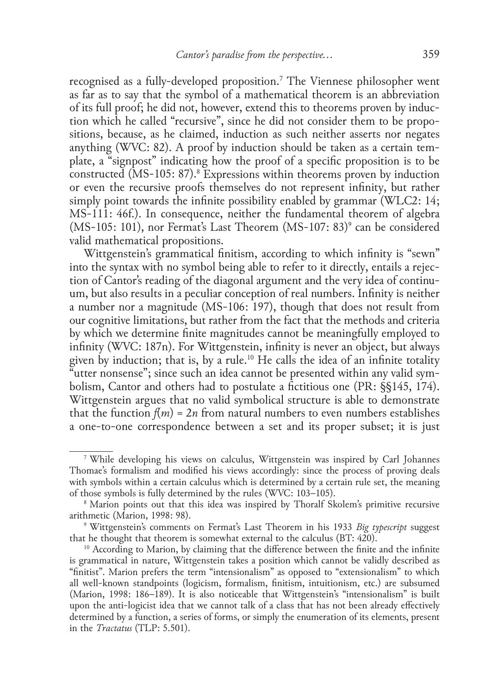recognised as a fully‑developed proposition.7 The Viennese philosopher went as far as to say that the symbol of a mathematical theorem is an abbreviation of its full proof; he did not, however, extend this to theorems proven by induc‑ tion which he called "recursive", since he did not consider them to be propositions, because, as he claimed, induction as such neither asserts nor negates anything (WVC: 82). A proof by induction should be taken as a certain template, a "signpost" indicating how the proof of a specific proposition is to be constructed (MS‑105: 87).8 Expressions within theorems proven by induction or even the recursive proofs themselves do not represent infinity, but rather simply point towards the infinite possibility enabled by grammar (WLC2: 14; MS‑111: 46f.). In consequence, neither the fundamental theorem of algebra (MS-105: 101), nor Fermat's Last Theorem (MS-107: 83)<sup>9</sup> can be considered valid mathematical propositions.

Wittgenstein's grammatical finitism, according to which infinity is "sewn" into the syntax with no symbol being able to refer to it directly, entails a rejection of Cantor's reading of the diagonal argument and the very idea of continuum, but also results in a peculiar conception of real numbers. Infinity is neither a number nor a magnitude (MS‑106: 197), though that does not result from our cognitive limitations, but rather from the fact that the methods and criteria by which we determine finite magnitudes cannot be meaningfully employed to infinity (WVC: 187n). For Wittgenstein, infinity is never an object, but always given by induction; that is, by a rule.10 He calls the idea of an infinite totality "utter nonsense"; since such an idea cannot be presented within any valid sym‑ bolism, Cantor and others had to postulate a fictitious one (PR: §§145, 174). Wittgenstein argues that no valid symbolical structure is able to demonstrate that the function  $f(m) = 2n$  from natural numbers to even numbers establishes a one-to-one correspondence between a set and its proper subset; it is just

<sup>7</sup> While developing his views on calculus, Wittgenstein was inspired by Carl Johannes Thomae's formalism and modified his views accordingly: since the process of proving deals with symbols within a certain calculus which is determined by a certain rule set, the meaning of those symbols is fully determined by the rules (WVC: 103–105).

<sup>&</sup>lt;sup>8</sup> Marion points out that this idea was inspired by Thoralf Skolem's primitive recursive arithmetic (Marion, 1998: 98).

<sup>9</sup> Wittgenstein's comments on Fermat's Last Theorem in his 1933 *Big typescript* suggest that he thought that theorem is somewhat external to the calculus (BT: 420).

<sup>&</sup>lt;sup>10</sup> According to Marion, by claiming that the difference between the finite and the infinite is grammatical in nature, Wittgenstein takes a position which cannot be validly described as "finitist". Marion prefers the term "intensionalism" as opposed to "extensionalism" to which all well-known standpoints (logicism, formalism, finitism, intuitionism, etc.) are subsumed (Marion, 1998: 186–189). It is also noticeable that Wittgenstein's "intensionalism" is built upon the anti‑logicist idea that we cannot talk of a class that has not been already effectively determined by a function, a series of forms, or simply the enumeration of its elements, present in the *Tractatus* (TLP: 5.501).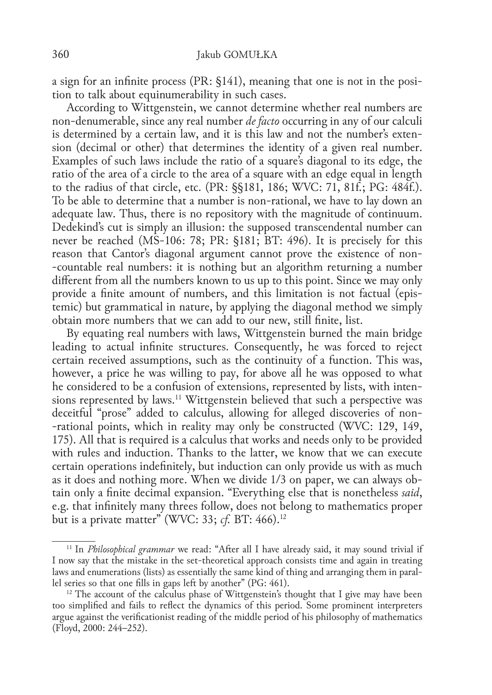a sign for an infinite process (PR: §141), meaning that one is not in the position to talk about equinumerability in such cases.

According to Wittgenstein, we cannot determine whether real numbers are non‑denumerable, since any real number *de facto* occurring in any of our calculi is determined by a certain law, and it is this law and not the number's extension (decimal or other) that determines the identity of a given real number. Examples of such laws include the ratio of a square's diagonal to its edge, the ratio of the area of a circle to the area of a square with an edge equal in length to the radius of that circle, etc. (PR: §§181, 186; WVC: 71, 81f.; PG: 484f.). To be able to determine that a number is non-rational, we have to lay down an adequate law. Thus, there is no repository with the magnitude of continuum. Dedekind's cut is simply an illusion: the supposed transcendental number can never be reached (MS-106: 78; PR: §181; BT: 496). It is precisely for this reason that Cantor's diagonal argument cannot prove the existence of non-‑countable real numbers: it is nothing but an algorithm returning a number different from all the numbers known to us up to this point. Since we may only provide a finite amount of numbers, and this limitation is not factual (epistemic) but grammatical in nature, by applying the diagonal method we simply obtain more numbers that we can add to our new, still finite, list.

By equating real numbers with laws, Wittgenstein burned the main bridge leading to actual infinite structures. Consequently, he was forced to reject certain received assumptions, such as the continuity of a function. This was, however, a price he was willing to pay, for above all he was opposed to what he considered to be a confusion of extensions, represented by lists, with intensions represented by laws.<sup>11</sup> Wittgenstein believed that such a perspective was deceitful "prose" added to calculus, allowing for alleged discoveries of non-‑rational points, which in reality may only be constructed (WVC: 129, 149, 175). All that is required is a calculus that works and needs only to be provided with rules and induction. Thanks to the latter, we know that we can execute certain operations indefinitely, but induction can only provide us with as much as it does and nothing more. When we divide 1/3 on paper, we can always obtain only a finite decimal expansion. "Everything else that is nonetheless *said*, e.g. that infinitely many threes follow, does not belong to mathematics proper but is a private matter" (WVC: 33; *cf.* BT: 466).12

<sup>&</sup>lt;sup>11</sup> In *Philosophical grammar* we read: "After all I have already said, it may sound trivial if I now say that the mistake in the set‑theoretical approach consists time and again in treating laws and enumerations (lists) as essentially the same kind of thing and arranging them in paral– lel series so that one fills in gaps left by another" (PG: 461).

 $12$  The account of the calculus phase of Wittgenstein's thought that I give may have been too simplified and fails to reflect the dynamics of this period. Some prominent interpreters argue against the verificationist reading of the middle period of his philosophy of mathematics (Floyd, 2000: 244–252).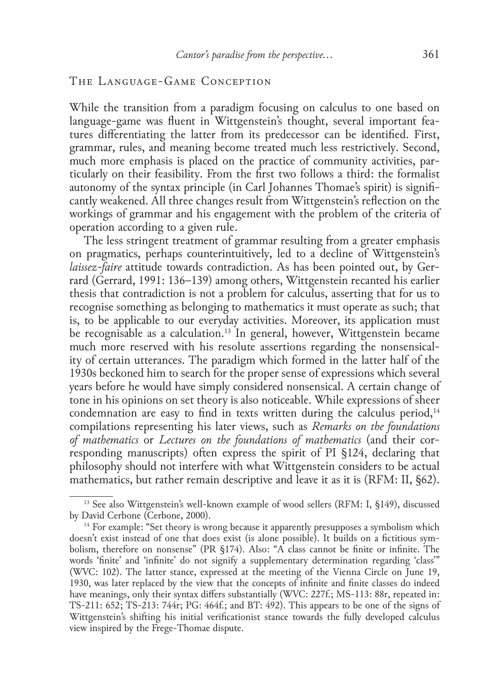#### The Language‑Game Conception

While the transition from a paradigm focusing on calculus to one based on language–game was fluent in Wittgenstein's thought, several important fea– tures differentiating the latter from its predecessor can be identified. First, grammar, rules, and meaning become treated much less restrictively. Second, much more emphasis is placed on the practice of community activities, particularly on their feasibility. From the first two follows a third: the formalist autonomy of the syntax principle (in Carl Johannes Thomae's spirit) is signifi‑ cantly weakened. All three changes result from Wittgenstein's reflection on the workings of grammar and his engagement with the problem of the criteria of operation according to a given rule.

The less stringent treatment of grammar resulting from a greater emphasis on pragmatics, perhaps counterintuitively, led to a decline of Wittgenstein's *laissez-faire* attitude towards contradiction. As has been pointed out, by Gerrard (Gerrard, 1991: 136–139) among others, Wittgenstein recanted his earlier thesis that contradiction is not a problem for calculus, asserting that for us to recognise something as belonging to mathematics it must operate as such; that is, to be applicable to our everyday activities. Moreover, its application must be recognisable as a calculation.<sup>13</sup> In general, however, Wittgenstein became much more reserved with his resolute assertions regarding the nonsensical– ity of certain utterances. The paradigm which formed in the latter half of the 1930s beckoned him to search for the proper sense of expressions which several years before he would have simply considered nonsensical. A certain change of tone in his opinions on set theory is also noticeable. While expressions of sheer condemnation are easy to find in texts written during the calculus period,  $14$ compilations representing his later views, such as *Remarks on the foundations of mathematics* or *Lectures on the foundations of mathematics* (and their cor‑ responding manuscripts) often express the spirit of PI §124, declaring that philosophy should not interfere with what Wittgenstein considers to be actual mathematics, but rather remain descriptive and leave it as it is (RFM: II, §62).

 $13$  See also Wittgenstein's well-known example of wood sellers (RFM: I, §149), discussed by David Cerbone (Cerbone, 2000).

<sup>&</sup>lt;sup>14</sup> For example: "Set theory is wrong because it apparently presupposes a symbolism which doesn't exist instead of one that does exist (is alone possible). It builds on a fictitious symbolism, therefore on nonsense" (PR §174). Also: "A class cannot be finite or infinite. The words 'finite' and 'infinite' do not signify a supplementary determination regarding 'class'" (WVC: 102). The latter stance, expressed at the meeting of the Vienna Circle on June 19, 1930, was later replaced by the view that the concepts of infinite and finite classes do indeed have meanings, only their syntax differs substantially (WVC: 227f.; MS-113: 88r, repeated in: TS‑211: 652; TS‑213: 744r; PG: 464f.; and BT: 492). This appears to be one of the signs of Wittgenstein's shifting his initial verificationist stance towards the fully developed calculus view inspired by the Frege‑Thomae dispute.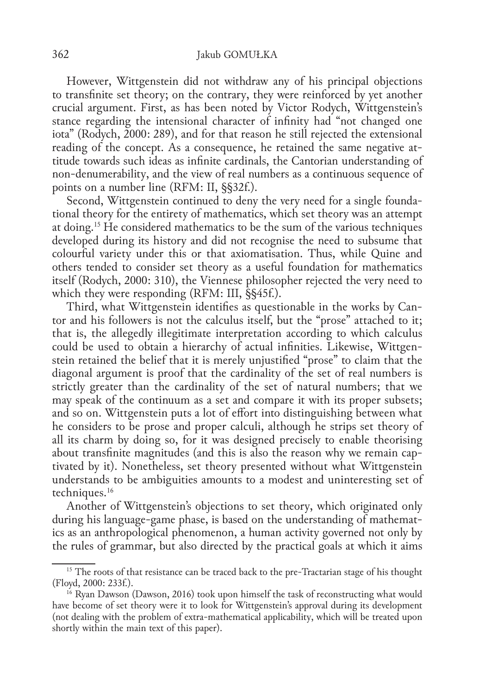However, Wittgenstein did not withdraw any of his principal objections to transfinite set theory; on the contrary, they were reinforced by yet another crucial argument. First, as has been noted by Victor Rodych, Wittgenstein's stance regarding the intensional character of infinity had "not changed one iota" (Rodych, 2000: 289), and for that reason he still rejected the extensional reading of the concept. As a consequence, he retained the same negative attitude towards such ideas as infinite cardinals, the Cantorian understanding of non‑denumerability, and the view of real numbers as a continuous sequence of points on a number line (RFM: II, §§32f.).

Second, Wittgenstein continued to deny the very need for a single foundational theory for the entirety of mathematics, which set theory was an attempt at doing.15 He considered mathematics to be the sum of the various techniques developed during its history and did not recognise the need to subsume that colourful variety under this or that axiomatisation. Thus, while Quine and others tended to consider set theory as a useful foundation for mathematics itself (Rodych, 2000: 310), the Viennese philosopher rejected the very need to which they were responding (RFM: III, §§45f.).

Third, what Wittgenstein identifies as questionable in the works by Cantor and his followers is not the calculus itself, but the "prose" attached to it; that is, the allegedly illegitimate interpretation according to which calculus could be used to obtain a hierarchy of actual infinities. Likewise, Wittgenstein retained the belief that it is merely unjustified "prose" to claim that the diagonal argument is proof that the cardinality of the set of real numbers is strictly greater than the cardinality of the set of natural numbers; that we may speak of the continuum as a set and compare it with its proper subsets; and so on. Wittgenstein puts a lot of effort into distinguishing between what he considers to be prose and proper calculi, although he strips set theory of all its charm by doing so, for it was designed precisely to enable theorising about transfinite magnitudes (and this is also the reason why we remain captivated by it). Nonetheless, set theory presented without what Wittgenstein understands to be ambiguities amounts to a modest and uninteresting set of techniques.<sup>16</sup>

Another of Wittgenstein's objections to set theory, which originated only during his language–game phase, is based on the understanding of mathemat– ics as an anthropological phenomenon, a human activity governed not only by the rules of grammar, but also directed by the practical goals at which it aims

<sup>&</sup>lt;sup>15</sup> The roots of that resistance can be traced back to the pre-Tractarian stage of his thought (Floyd, 2000: 233f.).

<sup>&</sup>lt;sup>16</sup> Ryan Dawson (Dawson, 2016) took upon himself the task of reconstructing what would have become of set theory were it to look for Wittgenstein's approval during its development (not dealing with the problem of extra‑mathematical applicability, which will be treated upon shortly within the main text of this paper).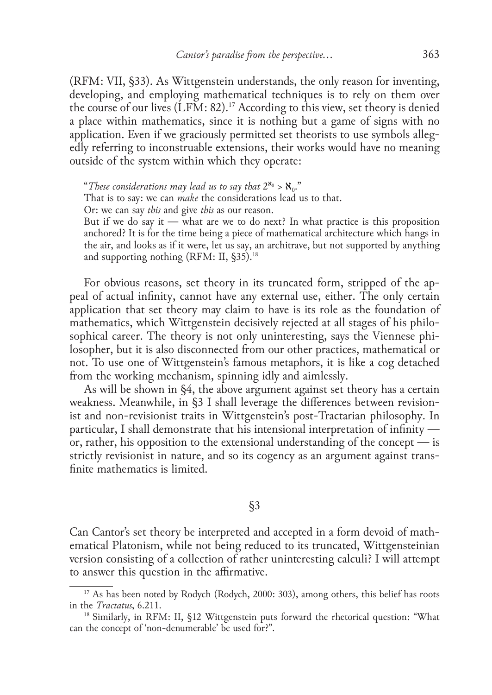(RFM: VII, §33). As Wittgenstein understands, the only reason for inventing, developing, and employing mathematical techniques is to rely on them over the course of our lives (LFM: 82).17 According to this view, set theory is denied a place within mathematics, since it is nothing but a game of signs with no application. Even if we graciously permitted set theorists to use symbols allegedly referring to inconstruable extensions, their works would have no meaning outside of the system within which they operate:

"These considerations may lead us to say that  $2^{\aleph_0} > \aleph_0$ ."

That is to say: we can *make* the considerations lead us to that.

Or: we can say *this* and give *this* as our reason.

But if we do say it — what are we to do next? In what practice is this proposition anchored? It is for the time being a piece of mathematical architecture which hangs in the air, and looks as if it were, let us say, an architrave, but not supported by anything and supporting nothing (RFM: II, §35).<sup>18</sup>

For obvious reasons, set theory in its truncated form, stripped of the appeal of actual infinity, cannot have any external use, either. The only certain application that set theory may claim to have is its role as the foundation of mathematics, which Wittgenstein decisively rejected at all stages of his philosophical career. The theory is not only uninteresting, says the Viennese philosopher, but it is also disconnected from our other practices, mathematical or not. To use one of Wittgenstein's famous metaphors, it is like a cog detached from the working mechanism, spinning idly and aimlessly.

As will be shown in §4, the above argument against set theory has a certain weakness. Meanwhile, in §3 I shall leverage the differences between revisionist and non-revisionist traits in Wittgenstein's post-Tractarian philosophy. In particular, I shall demonstrate that his intensional interpretation of infinity or, rather, his opposition to the extensional understanding of the concept — is strictly revisionist in nature, and so its cogency as an argument against trans– finite mathematics is limited.

§3

Can Cantor's set theory be interpreted and accepted in a form devoid of math‑ ematical Platonism, while not being reduced to its truncated, Wittgensteinian version consisting of a collection of rather uninteresting calculi? I will attempt to answer this question in the affirmative.

 $17$  As has been noted by Rodych (Rodych, 2000: 303), among others, this belief has roots in the *Tractatus*, 6.211.

<sup>&</sup>lt;sup>18</sup> Similarly, in RFM: II, §12 Wittgenstein puts forward the rhetorical question: "What can the concept of 'non‑denumerable' be used for?".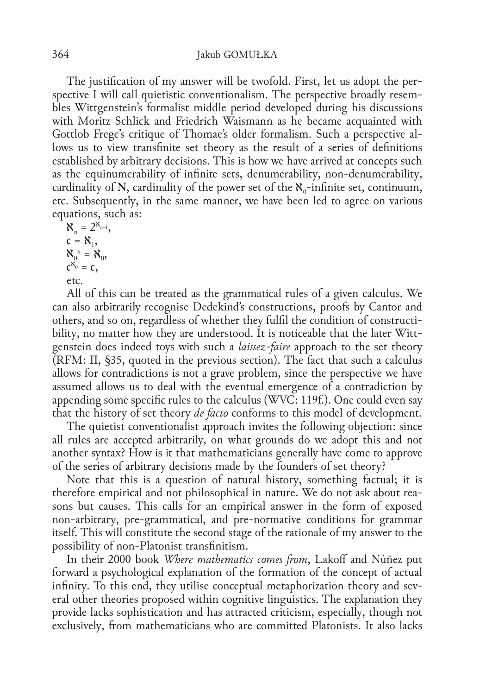The justification of my answer will be twofold. First, let us adopt the perspective I will call quietistic conventionalism. The perspective broadly resembles Wittgenstein's formalist middle period developed during his discussions with Moritz Schlick and Friedrich Waismann as he became acquainted with Gottlob Frege's critique of Thomae's older formalism. Such a perspective allows us to view transfinite set theory as the result of a series of definitions established by arbitrary decisions. This is how we have arrived at concepts such as the equinumerability of infinite sets, denumerability, non‑denumerability, cardinality of N, cardinality of the power set of the  $\aleph_{0}$ -infinite set, continuum, etc. Subsequently, in the same manner, we have been led to agree on various equations, such as:

 $\aleph_n = 2^{\aleph_{n-1}},$  $c = N_1$ ,  $X_0^n = X_0$  $c^{x_0} = c$ , etc.

All of this can be treated as the grammatical rules of a given calculus. We can also arbitrarily recognise Dedekind's constructions, proofs by Cantor and others, and so on, regardless of whether they fulfil the condition of constructibility, no matter how they are understood. It is noticeable that the later Wittgenstein does indeed toys with such a *laissez‑faire* approach to the set theory (RFM: II, §35, quoted in the previous section). The fact that such a calculus allows for contradictions is not a grave problem, since the perspective we have assumed allows us to deal with the eventual emergence of a contradiction by appending some specific rules to the calculus (WVC: 119f.). One could even say that the history of set theory *de facto* conforms to this model of development.

The quietist conventionalist approach invites the following objection: since all rules are accepted arbitrarily, on what grounds do we adopt this and not another syntax? How is it that mathematicians generally have come to approve of the series of arbitrary decisions made by the founders of set theory?

Note that this is a question of natural history, something factual; it is therefore empirical and not philosophical in nature. We do not ask about rea‑ sons but causes. This calls for an empirical answer in the form of exposed non‑arbitrary, pre‑grammatical, and pre‑normative conditions for grammar itself. This will constitute the second stage of the rationale of my answer to the possibility of non‑Platonist transfinitism.

In their 2000 book *Where mathematics comes from*, Lakoff and Núñez put forward a psychological explanation of the formation of the concept of actual infinity. To this end, they utilise conceptual metaphorization theory and several other theories proposed within cognitive linguistics. The explanation they provide lacks sophistication and has attracted criticism, especially, though not exclusively, from mathematicians who are committed Platonists. It also lacks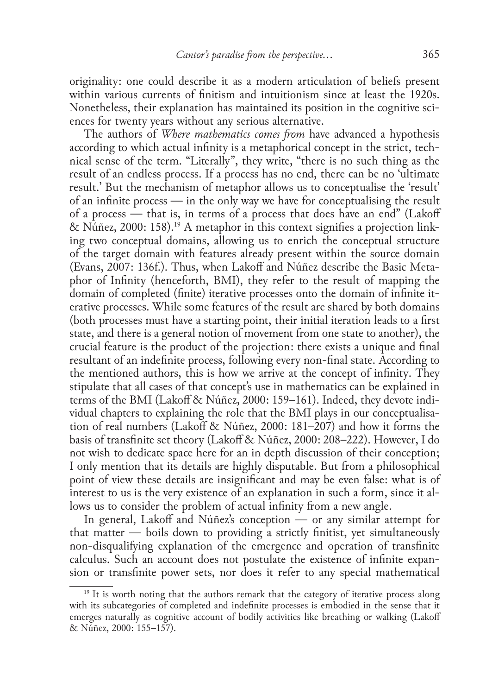originality: one could describe it as a modern articulation of beliefs present within various currents of finitism and intuitionism since at least the 1920s. Nonetheless, their explanation has maintained its position in the cognitive sciences for twenty years without any serious alternative.

The authors of *Where mathematics comes from* have advanced a hypothesis according to which actual infinity is a metaphorical concept in the strict, technical sense of the term. "Literally", they write, "there is no such thing as the result of an endless process. If a process has no end, there can be no 'ultimate result.' But the mechanism of metaphor allows us to conceptualise the 'result' of an infinite process — in the only way we have for conceptualising the result of a process — that is, in terms of a process that does have an end" (Lakoff & Nûñez, 2000: 158).<sup>19</sup> A metaphor in this context signifies a projection linking two conceptual domains, allowing us to enrich the conceptual structure of the target domain with features already present within the source domain (Evans, 2007: 136f.). Thus, when Lakoff and Núñez describe the Basic Meta‑ phor of Infinity (henceforth, BMI), they refer to the result of mapping the domain of completed (finite) iterative processes onto the domain of infinite iterative processes. While some features of the result are shared by both domains (both processes must have a starting point, their initial iteration leads to a first state, and there is a general notion of movement from one state to another), the crucial feature is the product of the projection: there exists a unique and final resultant of an indefinite process, following every non-final state. According to the mentioned authors, this is how we arrive at the concept of infinity. They stipulate that all cases of that concept's use in mathematics can be explained in terms of the BMI (Lakoff & Núñez, 2000: 159–161). Indeed, they devote individual chapters to explaining the role that the BMI plays in our conceptualisation of real numbers (Lakoff & Núñez, 2000: 181–207) and how it forms the basis of transfinite set theory (Lakoff & Núñez, 2000: 208–222). However, I do not wish to dedicate space here for an in depth discussion of their conception; I only mention that its details are highly disputable. But from a philosophical point of view these details are insignificant and may be even false: what is of interest to us is the very existence of an explanation in such a form, since it allows us to consider the problem of actual infinity from a new angle.

In general, Lakoff and Núñez's conception — or any similar attempt for that matter — boils down to providing a strictly finitist, yet simultaneously non‑disqualifying explanation of the emergence and operation of transfinite calculus. Such an account does not postulate the existence of infinite expansion or transfinite power sets, nor does it refer to any special mathematical

<sup>&</sup>lt;sup>19</sup> It is worth noting that the authors remark that the category of iterative process along with its subcategories of completed and indefinite processes is embodied in the sense that it emerges naturally as cognitive account of bodily activities like breathing or walking (Lakoff & Núñez, 2000: 155–157).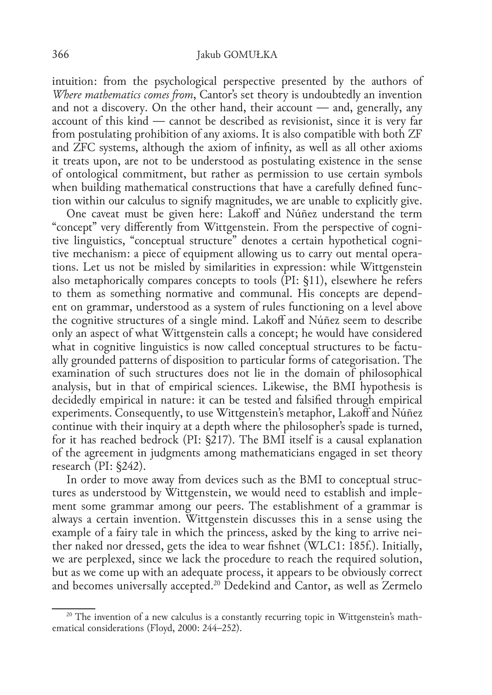intuition: from the psychological perspective presented by the authors of *Where mathematics comes from*, Cantor's set theory is undoubtedly an invention and not a discovery. On the other hand, their account — and, generally, any account of this kind — cannot be described as revisionist, since it is very far from postulating prohibition of any axioms. It is also compatible with both ZF and ZFC systems, although the axiom of infinity, as well as all other axioms it treats upon, are not to be understood as postulating existence in the sense of ontological commitment, but rather as permission to use certain symbols when building mathematical constructions that have a carefully defined func– tion within our calculus to signify magnitudes, we are unable to explicitly give.

One caveat must be given here: Lakoff and Núñez understand the term "concept" very differently from Wittgenstein. From the perspective of cognitive linguistics, "conceptual structure" denotes a certain hypothetical cognitive mechanism: a piece of equipment allowing us to carry out mental operations. Let us not be misled by similarities in expression: while Wittgenstein also metaphorically compares concepts to tools (PI: §11), elsewhere he refers to them as something normative and communal. His concepts are dependent on grammar, understood as a system of rules functioning on a level above the cognitive structures of a single mind. Lakoff and Núñez seem to describe only an aspect of what Wittgenstein calls a concept; he would have considered what in cognitive linguistics is now called conceptual structures to be factually grounded patterns of disposition to particular forms of categorisation. The examination of such structures does not lie in the domain of philosophical analysis, but in that of empirical sciences. Likewise, the BMI hypothesis is decidedly empirical in nature: it can be tested and falsified through empirical experiments. Consequently, to use Wittgenstein's metaphor, Lakoff and Núñez continue with their inquiry at a depth where the philosopher's spade is turned, for it has reached bedrock (PI: §217). The BMI itself is a causal explanation of the agreement in judgments among mathematicians engaged in set theory research (PI: §242).

In order to move away from devices such as the BMI to conceptual struc– tures as understood by Wittgenstein, we would need to establish and implement some grammar among our peers. The establishment of a grammar is always a certain invention. Wittgenstein discusses this in a sense using the example of a fairy tale in which the princess, asked by the king to arrive neither naked nor dressed, gets the idea to wear fishnet (WLC1: 185f.). Initially, we are perplexed, since we lack the procedure to reach the required solution, but as we come up with an adequate process, it appears to be obviously correct and becomes universally accepted.20 Dedekind and Cantor, as well as Zermelo

<sup>&</sup>lt;sup>20</sup> The invention of a new calculus is a constantly recurring topic in Wittgenstein's math– ematical considerations (Floyd, 2000: 244–252).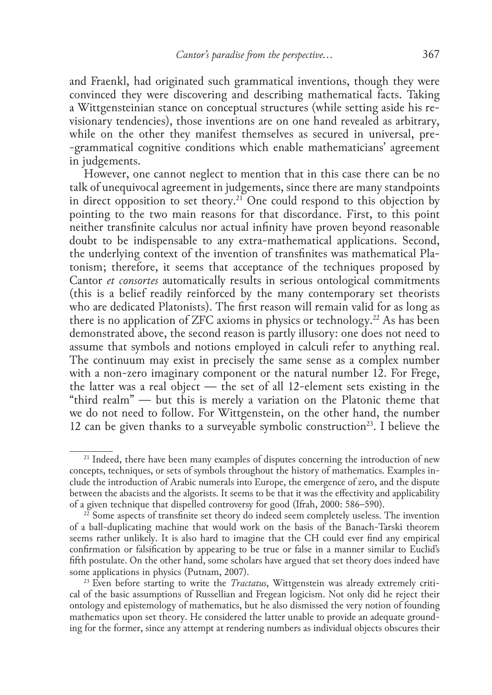and Fraenkl, had originated such grammatical inventions, though they were convinced they were discovering and describing mathematical facts. Taking a Wittgensteinian stance on conceptual structures (while setting aside his re‑ visionary tendencies), those inventions are on one hand revealed as arbitrary, while on the other they manifest themselves as secured in universal, pre-‑grammatical cognitive conditions which enable mathematicians' agreement in judgements.

However, one cannot neglect to mention that in this case there can be no talk of unequivocal agreement in judgements, since there are many standpoints in direct opposition to set theory.<sup>21</sup> One could respond to this objection by pointing to the two main reasons for that discordance. First, to this point neither transfinite calculus nor actual infinity have proven beyond reasonable doubt to be indispensable to any extra-mathematical applications. Second, the underlying context of the invention of transfinites was mathematical Platonism; therefore, it seems that acceptance of the techniques proposed by Cantor *et consortes* automatically results in serious ontological commitments (this is a belief readily reinforced by the many contemporary set theorists who are dedicated Platonists). The first reason will remain valid for as long as there is no application of ZFC axioms in physics or technology.22 As has been demonstrated above, the second reason is partly illusory: one does not need to assume that symbols and notions employed in calculi refer to anything real. The continuum may exist in precisely the same sense as a complex number with a non-zero imaginary component or the natural number 12. For Frege, the latter was a real object — the set of all 12-element sets existing in the "third realm" — but this is merely a variation on the Platonic theme that we do not need to follow. For Wittgenstein, on the other hand, the number 12 can be given thanks to a surveyable symbolic construction<sup>23</sup>. I believe the

<sup>&</sup>lt;sup>21</sup> Indeed, there have been many examples of disputes concerning the introduction of new concepts, techniques, or sets of symbols throughout the history of mathematics. Examples in‑ clude the introduction of Arabic numerals into Europe, the emergence of zero, and the dispute between the abacists and the algorists. It seems to be that it was the effectivity and applicability of a given technique that dispelled controversy for good (Ifrah, 2000: 586–590).

<sup>&</sup>lt;sup>22</sup> Some aspects of transfinite set theory do indeed seem completely useless. The invention of a ball‑duplicating machine that would work on the basis of the Banach‑Tarski theorem seems rather unlikely. It is also hard to imagine that the CH could ever find any empirical confirmation or falsification by appearing to be true or false in a manner similar to Euclid's fifth postulate. On the other hand, some scholars have argued that set theory does indeed have some applications in physics (Putnam, 2007).

<sup>&</sup>lt;sup>23</sup> Even before starting to write the *Tractatus*, Wittgenstein was already extremely critical of the basic assumptions of Russellian and Fregean logicism. Not only did he reject their ontology and epistemology of mathematics, but he also dismissed the very notion of founding mathematics upon set theory. He considered the latter unable to provide an adequate grounding for the former, since any attempt at rendering numbers as individual objects obscures their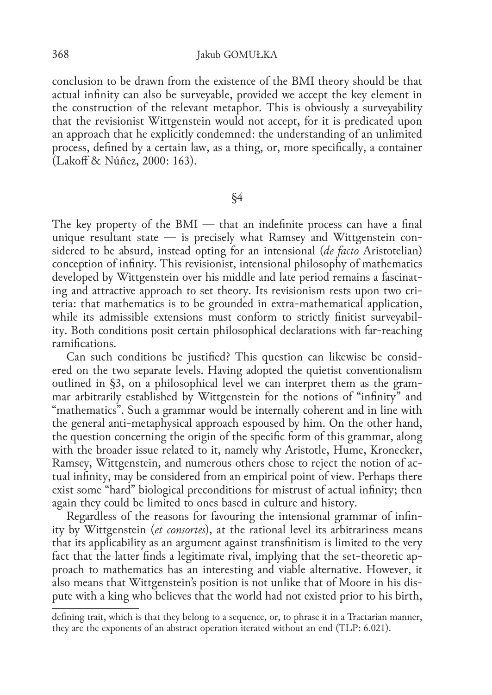conclusion to be drawn from the existence of the BMI theory should be that actual infinity can also be surveyable, provided we accept the key element in the construction of the relevant metaphor. This is obviously a surveyability that the revisionist Wittgenstein would not accept, for it is predicated upon an approach that he explicitly condemned: the understanding of an unlimited process, defined by a certain law, as a thing, or, more specifically, a container (Lakoff & Núñez, 2000: 163).

#### §4

The key property of the BMI — that an indefinite process can have a final unique resultant state  $-$  is precisely what Ramsey and Wittgenstein considered to be absurd, instead opting for an intensional (*de facto* Aristotelian) conception of infinity. This revisionist, intensional philosophy of mathematics developed by Wittgenstein over his middle and late period remains a fascinating and attractive approach to set theory. Its revisionism rests upon two criteria: that mathematics is to be grounded in extra‑mathematical application, while its admissible extensions must conform to strictly finitist surveyability. Both conditions posit certain philosophical declarations with far-reaching ramifications.

Can such conditions be justified? This question can likewise be considered on the two separate levels. Having adopted the quietist conventionalism outlined in §3, on a philosophical level we can interpret them as the gram– mar arbitrarily established by Wittgenstein for the notions of "infinity" and "mathematics". Such a grammar would be internally coherent and in line with the general anti‑metaphysical approach espoused by him. On the other hand, the question concerning the origin of the specific form of this grammar, along with the broader issue related to it, namely why Aristotle, Hume, Kronecker, Ramsey, Wittgenstein, and numerous others chose to reject the notion of ac‑ tual infinity, may be considered from an empirical point of view. Perhaps there exist some "hard" biological preconditions for mistrust of actual infinity; then again they could be limited to ones based in culture and history.

Regardless of the reasons for favouring the intensional grammar of infinity by Wittgenstein (*et consortes*), at the rational level its arbitrariness means that its applicability as an argument against transfinitism is limited to the very fact that the latter finds a legitimate rival, implying that the set–theoretic ap– proach to mathematics has an interesting and viable alternative. However, it also means that Wittgenstein's position is not unlike that of Moore in his dispute with a king who believes that the world had not existed prior to his birth,

defining trait, which is that they belong to a sequence, or, to phrase it in a Tractarian manner, they are the exponents of an abstract operation iterated without an end (TLP: 6.021).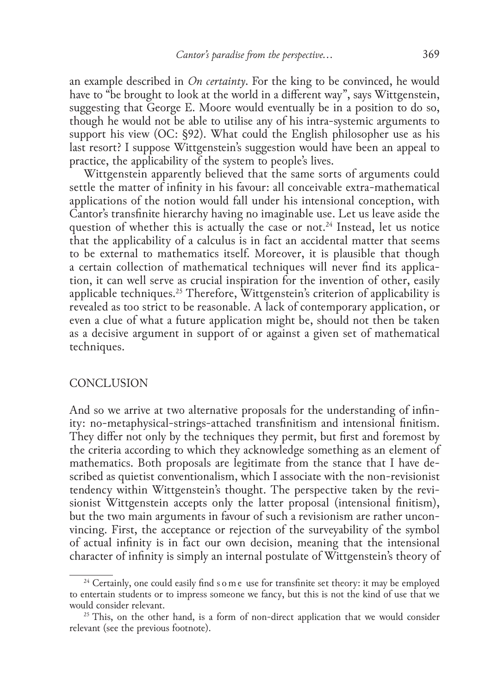an example described in *On certainty*. For the king to be convinced, he would have to "be brought to look at the world in a different way", says Wittgenstein, suggesting that George E. Moore would eventually be in a position to do so, though he would not be able to utilise any of his intra‑systemic arguments to support his view (OC: §92). What could the English philosopher use as his last resort? I suppose Wittgenstein's suggestion would have been an appeal to practice, the applicability of the system to people's lives.

Wittgenstein apparently believed that the same sorts of arguments could settle the matter of infinity in his favour: all conceivable extra-mathematical applications of the notion would fall under his intensional conception, with Cantor's transfinite hierarchy having no imaginable use. Let us leave aside the question of whether this is actually the case or not.<sup>24</sup> Instead, let us notice that the applicability of a calculus is in fact an accidental matter that seems to be external to mathematics itself. Moreover, it is plausible that though a certain collection of mathematical techniques will never find its application, it can well serve as crucial inspiration for the invention of other, easily applicable techniques.25 Therefore, Wittgenstein's criterion of applicability is revealed as too strict to be reasonable. A lack of contemporary application, or even a clue of what a future application might be, should not then be taken as a decisive argument in support of or against a given set of mathematical techniques.

#### **CONCLUSION**

And so we arrive at two alternative proposals for the understanding of infinity: no‑metaphysical‑strings‑attached transfinitism and intensional finitism. They differ not only by the techniques they permit, but first and foremost by the criteria according to which they acknowledge something as an element of mathematics. Both proposals are legitimate from the stance that I have described as quietist conventionalism, which I associate with the non-revisionist tendency within Wittgenstein's thought. The perspective taken by the revisionist Wittgenstein accepts only the latter proposal (intensional finitism), but the two main arguments in favour of such a revisionism are rather unconvincing. First, the acceptance or rejection of the surveyability of the symbol of actual infinity is in fact our own decision, meaning that the intensional character of infinity is simply an internal postulate of Wittgenstein's theory of

<sup>&</sup>lt;sup>24</sup> Certainly, one could easily find s o m e use for transfinite set theory: it may be employed to entertain students or to impress someone we fancy, but this is not the kind of use that we would consider relevant.

 $25$  This, on the other hand, is a form of non-direct application that we would consider relevant (see the previous footnote).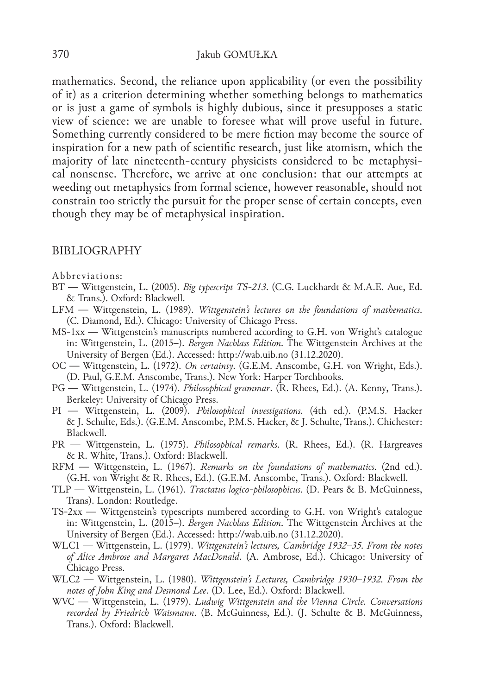mathematics. Second, the reliance upon applicability (or even the possibility of it) as a criterion determining whether something belongs to mathematics or is just a game of symbols is highly dubious, since it presupposes a static view of science: we are unable to foresee what will prove useful in future. Something currently considered to be mere fiction may become the source of inspiration for a new path of scientific research, just like atomism, which the majority of late nineteenth-century physicists considered to be metaphysical nonsense. Therefore, we arrive at one conclusion: that our attempts at weeding out metaphysics from formal science, however reasonable, should not constrain too strictly the pursuit for the proper sense of certain concepts, even though they may be of metaphysical inspiration.

#### BIBLIOGRAPHY

#### Abbreviations:

- BT Wittgenstein, L. (2005). *Big typescript TS‑213*. (C.G. Luckhardt & M.A.E. Aue, Ed. & Trans.). Oxford: Blackwell.
- LFM Wittgenstein, L. (1989). *Wittgenstein's lectures on the foundations of mathematics*. (C. Diamond, Ed.). Chicago: University of Chicago Press.
- MS‑1xx Wittgenstein's manuscripts numbered according to G.H. von Wright's catalogue in: Wittgenstein, L. (2015–). *Bergen Nachlass Edition*. The Wittgenstein Archives at the University of Bergen (Ed.). Accessed: http://wab.uib.no (31.12.2020).
- OC Wittgenstein, L. (1972). *On certainty*. (G.E.M. Anscombe, G.H. von Wright, Eds.). (D. Paul, G.E.M. Anscombe, Trans.). New York: Harper Torchbooks.
- PG Wittgenstein, L. (1974). *Philosophical grammar*. (R. Rhees, Ed.). (A. Kenny, Trans.). Berkeley: University of Chicago Press.
- PI Wittgenstein, L. (2009). *Philosophical investigations*. (4th ed.). (P.M.S. Hacker & J. Schulte, Eds.). (G.E.M. Anscombe, P.M.S. Hacker, & J. Schulte, Trans.). Chichester: Blackwell.
- PR Wittgenstein, L. (1975). *Philosophical remarks*. (R. Rhees, Ed.). (R. Hargreaves & R. White, Trans.). Oxford: Blackwell.
- RFM Wittgenstein, L. (1967). *Remarks on the foundations of mathematics*. (2nd ed.). (G.H. von Wright & R. Rhees, Ed.). (G.E.M. Anscombe, Trans.). Oxford: Blackwell.
- TLP Wittgenstein, L. (1961). *Tractatus logico‑philosophicus*. (D. Pears & B. McGuinness, Trans). London: Routledge.
- TS‑2xx Wittgenstein's typescripts numbered according to G.H. von Wright's catalogue in: Wittgenstein, L. (2015–). *Bergen Nachlass Edition*. The Wittgenstein Archives at the University of Bergen (Ed.). Accessed: http://wab.uib.no (31.12.2020).
- WLC1 Wittgenstein, L. (1979). *Wittgenstein's lectures, Cambridge 1932–35. From the notes of Alice Ambrose and Margaret MacDonald*. (A. Ambrose, Ed.). Chicago: University of Chicago Press.
- WLC2 Wittgenstein, L. (1980). *Wittgenstein's Lectures, Cambridge 1930–1932. From the notes of John King and Desmond Lee*. (D. Lee, Ed.). Oxford: Blackwell.
- WVC Wittgenstein, L. (1979). *Ludwig Wittgenstein and the Vienna Circle. Conversations recorded by Friedrich Waismann*. (B. McGuinness, Ed.). (J. Schulte & B. McGuinness, Trans.). Oxford: Blackwell.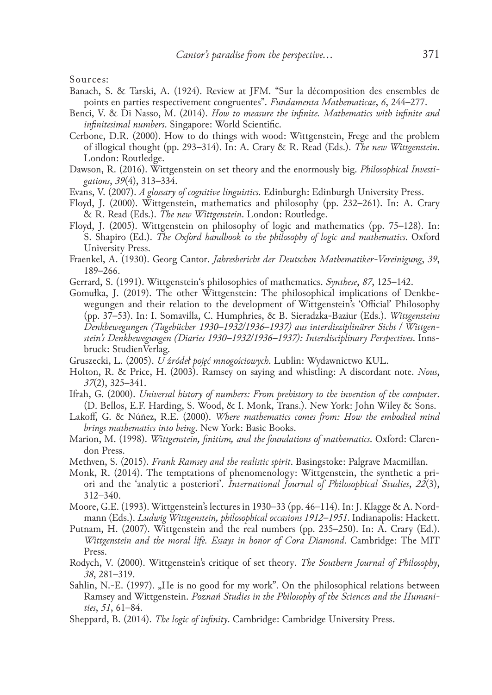Sources:

- Banach, S. & Tarski, A. (1924). Review at JFM. "Sur la décomposition des ensembles de points en parties respectivement congruentes". *Fundamenta Mathematicae*, *6*, 244–277.
- Benci, V. & Di Nasso, M. (2014). *How to measure the infinite. Mathematics with infinite and infinitesimal numbers*. Singapore: World Scientific.
- Cerbone, D.R. (2000). How to do things with wood: Wittgenstein, Frege and the problem of illogical thought (pp. 293–314). In: A. Crary & R. Read (Eds.). *The new Wittgenstein*. London: Routledge.
- Dawson, R. (2016). Wittgenstein on set theory and the enormously big. *Philosophical Investi‑ gations*, *39*(4), 313–334.
- Evans, V. (2007). *A glossary of cognitive linguistics*. Edinburgh: Edinburgh University Press.
- Floyd, J. (2000). Wittgenstein, mathematics and philosophy (pp. 232–261). In: A. Crary & R. Read (Eds.). *The new Wittgenstein*. London: Routledge.
- Floyd, J. (2005). Wittgenstein on philosophy of logic and mathematics (pp. 75–128). In: S. Shapiro (Ed.). *The Oxford handbook to the philosophy of logic and mathematics*. Oxford University Press.
- Fraenkel, A. (1930). Georg Cantor. *Jahresbericht der Deutschen Mathematiker‑Vereinigung*, *39*, 189–266.
- Gerrard, S. (1991). Wittgenstein's philosophies of mathematics. *Synthese*, *87*, 125–142.
- Gomułka, J. (2019). The other Wittgenstein: The philosophical implications of Denkbe‑ wegungen and their relation to the development of Wittgenstein's 'Official' Philosophy (pp. 37–53). In: I. Somavilla, C. Humphries, & B. Sieradzka‑Baziur (Eds.). *Wittgensteins Denkbewegungen (Tagebücher 1930–1932/1936–1937) aus interdisziplinärer Sicht / Wittgen‑ stein's Denkbewegungen (Diaries 1930–1932/1936–1937): Interdisciplinary Perspectives*. Inns‑ bruck: StudienVerlag.
- Gruszecki, L. (2005). *U źródeł pojęć mnogościowych*. Lublin: Wydawnictwo KUL.
- Holton, R. & Price, H. (2003). Ramsey on saying and whistling: A discordant note. *Nous*, *37*(2), 325–341.
- Ifrah, G. (2000). *Universal history of numbers: From prehistory to the invention of the computer*. (D. Bellos, E.F. Harding, S. Wood, & I. Monk, Trans.). New York: John Wiley & Sons.
- Lakoff, G. & Núñez, R.E. (2000). *Where mathematics comes from: How the embodied mind brings mathematics into being*. New York: Basic Books.
- Marion, M. (1998). *Wittgenstein, finitism, and the foundations of mathematics*. Oxford: Claren‑ don Press.
- Methven, S. (2015). *Frank Ramsey and the realistic spirit*. Basingstoke: Palgrave Macmillan.
- Monk, R. (2014). The temptations of phenomenology: Wittgenstein, the synthetic a priori and the 'analytic a posteriori'. *International Journal of Philosophical Studies*, *22*(3), 312–340.
- Moore, G.E. (1993). Wittgenstein's lectures in 1930–33 (pp. 46–114). In: J. Klagge & A. Nordmann (Eds.). *Ludwig Wittgenstein, philosophical occasions 1912–1951*. Indianapolis: Hackett.
- Putnam, H. (2007). Wittgenstein and the real numbers (pp. 235–250). In: A. Crary (Ed.). *Wittgenstein and the moral life. Essays in honor of Cora Diamond*. Cambridge: The MIT Press.
- Rodych, V. (2000). Wittgenstein's critique of set theory. *The Southern Journal of Philosophy*, *38*, 281–319.
- Sahlin, N.–E. (1997). "He is no good for my work". On the philosophical relations between Ramsey and Wittgenstein. *Poznań Studies in the Philosophy of the Sciences and the Humani‑ ties*, *51*, 61–84.
- Sheppard, B. (2014). *The logic of infinity*. Cambridge: Cambridge University Press.